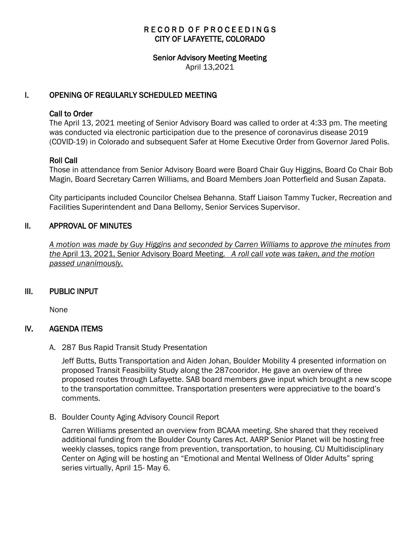# RECORD OF PROCEEDINGS CITY OF LAFAYETTE, COLORADO

#### Senior Advisory Meeting Meeting

April 13,2021

## I. OPENING OF REGULARLY SCHEDULED MEETING

#### Call to Order

The April 13, 2021 meeting of Senior Advisory Board was called to order at 4:33 pm. The meeting was conducted via electronic participation due to the presence of coronavirus disease 2019 (COVID-19) in Colorado and subsequent Safer at Home Executive Order from Governor Jared Polis.

### Roll Call

Those in attendance from Senior Advisory Board were Board Chair Guy Higgins, Board Co Chair Bob Magin, Board Secretary Carren Williams, and Board Members Joan Potterfield and Susan Zapata.

City participants included Councilor Chelsea Behanna, Staff Liaison Tammy Tucker, Recreation and Facilities Superintendent and Dana Bellomy, Senior Services Supervisor.

## II. APPROVAL OF MINUTES

 *A motion was made by Guy Higgins and seconded by Carren Williams to approve the minutes from the* April 13, 2021, Senior Advisory Board Meeting. *A roll call vote was taken, and the motion passed unanimously.*

### III. PUBLIC INPUT

None

### IV. AGENDA ITEMS

A. 287 Bus Rapid Transit Study Presentation

Jeff Butts, Butts Transportation and Aiden Johan, Boulder Mobility 4 presented information on proposed Transit Feasibility Study along the 287cooridor. He gave an overview of three proposed routes through Lafayette. SAB board members gave input which brought a new scope to the transportation committee. Transportation presenters were appreciative to the board's comments.

B. Boulder County Aging Advisory Council Report

Carren Williams presented an overview from BCAAA meeting. She shared that they received additional funding from the Boulder County Cares Act. AARP Senior Planet will be hosting free weekly classes, topics range from prevention, transportation, to housing. CU Multidisciplinary Center on Aging will be hosting an "Emotional and Mental Wellness of Older Adults" spring series virtually, April 15-May 6.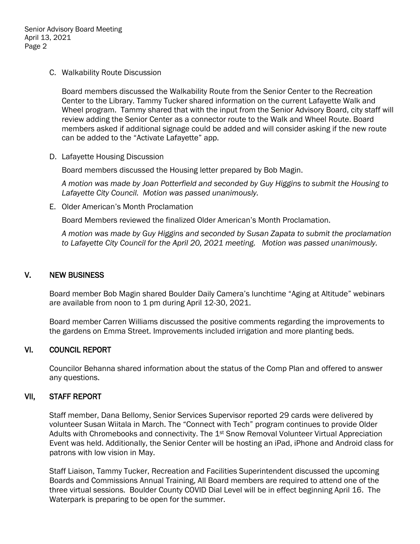Senior Advisory Board Meeting April 13, 2021 Page 2

C. Walkability Route Discussion

Board members discussed the Walkability Route from the Senior Center to the Recreation Center to the Library. Tammy Tucker shared information on the current Lafayette Walk and Wheel program. Tammy shared that with the input from the Senior Advisory Board, city staff will review adding the Senior Center as a connector route to the Walk and Wheel Route. Board members asked if additional signage could be added and will consider asking if the new route can be added to the "Activate Lafayette" app.

D. Lafayette Housing Discussion

Board members discussed the Housing letter prepared by Bob Magin.

*A motion was made by Joan Potterfield and seconded by Guy Higgins to submit the Housing to Lafayette City Council. Motion was passed unanimously.*

E. Older American's Month Proclamation

Board Members reviewed the finalized Older American's Month Proclamation.

*A motion was made by Guy Higgins and seconded by Susan Zapata to submit the proclamation to Lafayette City Council for the April 20, 2021 meeting. Motion was passed unanimously.*

### V. NEW BUSINESS

Board member Bob Magin shared Boulder Daily Camera's lunchtime "Aging at Altitude" webinars are available from noon to 1 pm during April 12-30, 2021.

Board member Carren Williams discussed the positive comments regarding the improvements to the gardens on Emma Street. Improvements included irrigation and more planting beds.

### VI. COUNCIL REPORT

Councilor Behanna shared information about the status of the Comp Plan and offered to answer any questions.

### VII, STAFF REPORT

Staff member, Dana Bellomy, Senior Services Supervisor reported 29 cards were delivered by volunteer Susan Wiitala in March. The "Connect with Tech" program continues to provide Older Adults with Chromebooks and connectivity. The 1<sup>st</sup> Snow Removal Volunteer Virtual Appreciation Event was held. Additionally, the Senior Center will be hosting an iPad, iPhone and Android class for patrons with low vision in May.

Staff Liaison, Tammy Tucker, Recreation and Facilities Superintendent discussed the upcoming Boards and Commissions Annual Training, All Board members are required to attend one of the three virtual sessions. Boulder County COVID Dial Level will be in effect beginning April 16. The Waterpark is preparing to be open for the summer.